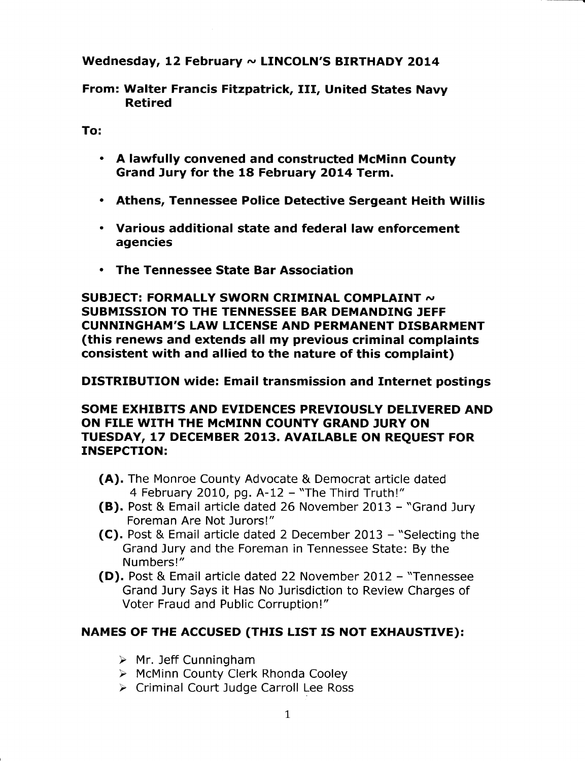### Wednesday, 12 February  $\sim$  LINCOLN'S BIRTHADY 2014

From: Walter Francis Fitzpatrick, IfI, United States Navy Retired

To:

- $\cdot$  A lawfully convened and constructed McMinn County Grand Jury for the 18 February 2OL4 Term,
- . Athens, Tennessee Police Detective Sergeant Heith Willis
- . Various additional state and federal law enforcement agencies
- . The Tennessee State Bar Association

SUBJECT: FORMALLY SWORN CRIMINAL COMPLAINT  $\sim$ SUBMISSION TO THE TENNESSEE BAR DEMANDING JEFF CUNNINGHAM'S LAW LICENSE AND PERMANENT DISBARMENT (this renews and extends all my previous criminal complaints consistent with and allied to the nature of this complaint)

## DISTRIBUTION wide: Email transmission and Internet postings

#### SOME EXHIBITS AND EVIDENCES PREVIOUSLY DELIVERED AND ON FILE WITH THE McMINN COUNTY GRAND JURY ON TUESDAY, 17 DECEMBER 2013. AVAILABLE ON REOUEST FOR INSEPCTION;

- (A). The Monroe County Advocate & Democrat article dated 4 February 2010, pg.  $A-12$  - "The Third Truth!"
- (B). Post & Email afticle dated 26 November 2013 "Grand Jury Foreman Are Not Jurors!"
- (C). Post & Email article dated 2 December 2013 "Selecting the Grand Jury and the Foreman in Tennessee State: By the Numbers!"
- (D). Post & Email article dated 22 November 2012 "Tennessee Grand Jury Says it Has No Jurisdiction to Review Charges of Voter Fraud and Public Corruption!"

# NAMES OF THE ACCUSED (THIS LIST IS NOT EXHAUSTIVE):

- $\triangleright$  Mr. Jeff Cunningham
- > McMinn County Clerk Rhonda Cooley
- > Criminal Court Judge Carroll Lee Ross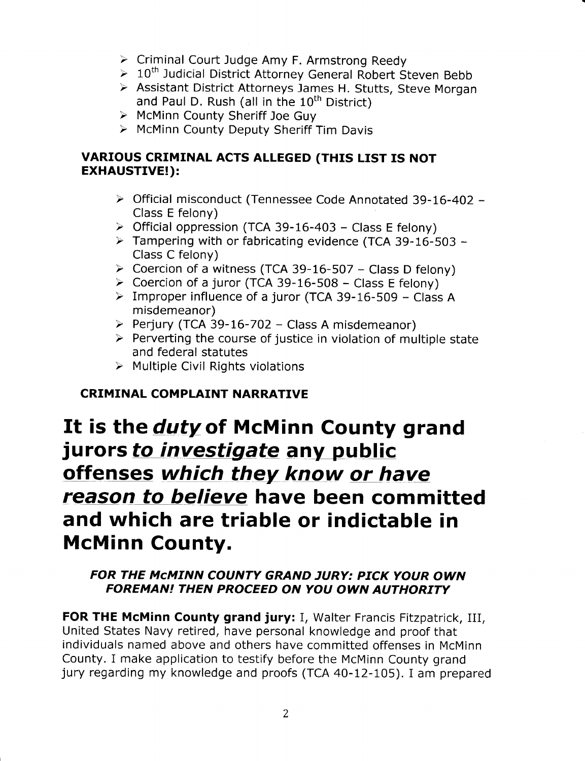- > Criminal Court Judge Amy F. Armstrong Reedy
- > 10<sup>th</sup> Judicial District Attorney General Robert Steven Bebb
- > Assistant District Attorneys James H. Stutts, Steve Morgan and Paul D. Rush (all in the  $10^{th}$  District)<br>
> McMinn County Sheriff Joe Guy
- 
- > McMinn County Deputy Sheriff Tim Davis

## VARIOUS CRIMINAL ACTS ALLEGED (THIS LIST IS NOT EXHAUSTIVE!):

- > Official misconduct (Tennessee Code Annotated 39-16-402 -Class E felony)
- > Official oppression (TCA 39-16-403 Class E felony)
- $\triangleright$  Tampering with or fabricating evidence (TCA 39-16-503 -Class C felony)<br>  $\geq$  Coercion of a witness (TCA 39-16-507 – Class D felony)
- 
- > Coercion of a juror (TCA 39-16-508 Class E felony)
- > Improper influence of a juror (TCA 39-16-509 Class A misdemeanor)
- Perjury (TCA 39-16-702 Class A misdemeanor)
- $\triangleright$  Perverting the course of justice in violation of multiple state and federal statutes
- $\triangleright$  Multiple Civil Rights violations

# CRIMINAL COMPLAINT NARRATIVE

# It is the *duty* of McMinn County grand jurors to investigate any public offenses which they know or have reason to believe have been committed and which are triable or indictable in McMinn County.

# FOR THE MCMINN COUNTY GRAND JURY: PICK YOUR OWN FOREMAN! THEN PROCEED ON YOU OWN AUTHORITY

FOR THE McMinn County grand jury: I, Walter Francis Fitzpatrick, III, United States Navy retired, have personal knowledge and proof that individuals named above and others have committed offenses in McMinn County, I make application to testify before the McMinn County grand jury regarding my knowledge and proofs (TCA 40-L2-105). I am prepared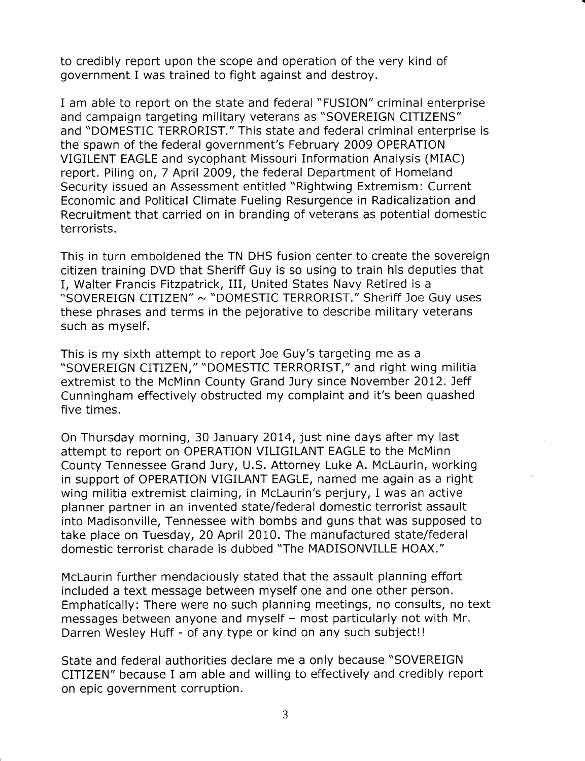to credibly report upon the scope and operation of the very kind of government Iwas trained to fight against and destroy.

I am able to report on the state and federal "FUSION" criminal enterprise and campaign targeting military veterans aS "SOVEREIGN CITIZENS" and "DOMESTIC TERRORIST." This state and federal criminal enterprise is the spawn of the federal government's February 2009 OPERATION VIGILENT EAGLE and sycophant Missouri Information Analysis (MIAC) report. Piling on,7 April 2009, the federal Department of Homeland Security issued an Assessment entitled "Rightwing Extremism: Current Economic and Political Climate Fueling Resurgence in Radicalization and Recruitment that carried on in branding of veterans as potential domestic terrorists.

This in turn emboldened the TN DHS fusion center to create the sovereign citizen training DVD that Sheriff Guy is so using to train his deputies that I, Walter Francis Fitzpatrick, III, United States Navy Retired is a "SOVEREIGN CITIZEN" ~ "DOMESTIC TERRORIST." Sheriff Joe Guy uses these phrases and terms in the pejorative to describe military veterans such as myself.

This is my sixth attempt to report Joe Guy's targeting me as a \*SOVEREIGN CITIZEN," "DOMESTIC TERRORIST," and right wing militia extremist to the McMinn County Grand Jury since November 2012. Jeff Cunningham effectively obstructed my complaint and it's been quashed five times.

On Thursday morning, 30 January 2014, just nine days after my last attempt to report on OPERATION VILIGILANT EAGLE to the McMinn County Tennessee Grand Jury, U.S. Attorney Luke A. Mclaurin, working in support of OPERATION VIGILANT EAGLE, named me again as a right wing militia extremist claiming, in Mclaurin's perjury, I was an active planner partner in an invented state/federal domestic terrorist assault into Madisonville, Tennessee with bombs and guns that was supposed to take place on Tuesday,20 April 2010. The manufactured state/federal domestic terrorist charade is dubbed "The MADISONVILLE HOAX."

McLaurin further mendaciously stated that the assault planning effort included a text message between myself one and one other person. Emphatically: There were no such planning meetings, no consults, no text messages between anyone and myself - most particularly not with Mr. Darren Wesley Huff - of any type or kind on any such subject!!

State and federal authorities declare me a only because "SOVEREIGN CITIZEN" because Iam able and willing to effectively and credibly report on epic government corruption.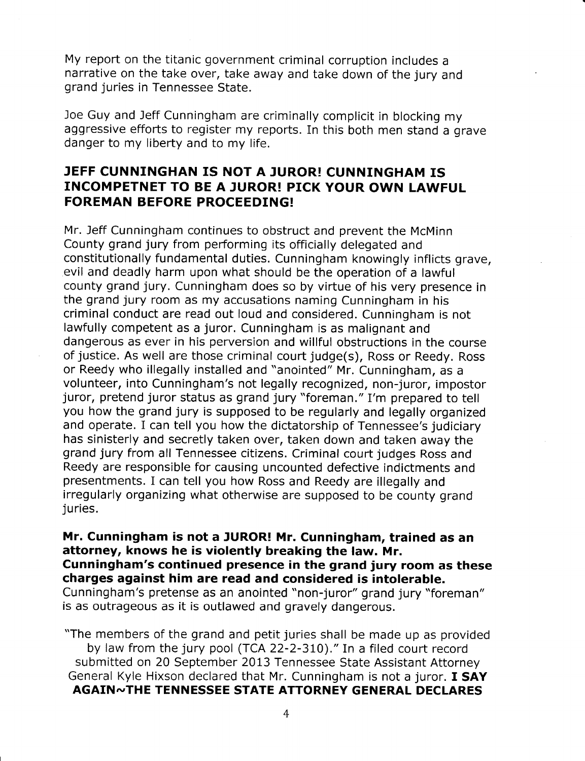My report on the titanic government criminal corruption includes a narrative on the take over, take away and take down of the jury and grand juries in Tennessee State.

Joe Guy and Jeff cunningham are criminally complicit in blocking my aggressive efforts to register my reports. In this both men stand a grave danger to my liberty and to my life.

### JEFF CUNNINGHAN IS NOT A JUROR! CUNNINGHAM IS INCOMPETNET TO BE A JUROR! PICK YOUR OWN LAWFUL FOREMAN BEFORE PROCEEDING!

Mr. Jeff Cunningham continues to obstruct and prevent the McMinn County grand jury from performing its officially delegated and constitutionally fundamental duties. Cunningham knowingly inflicts grave, evil and deadly harm upon what should be the operation of a lawful county grand jury. Cunningham does so by virtue of his very presence in the grand jury room as my accusations naming Cunningham in his criminal conduct are read out loud and considered. Cunningham is not lawfully competent as a juror. Cunningham is as malignant and dangerous as ever in his perversion and willful obstructions in the course of justice. As well are those criminal court judge(s), Ross or Reedy. Ross or Reedy who illegally installed and "anointed" Mr. Cunningham, as a volunteer, into Cunningham's not legally recognized, non-juror, impostor juror, pretend juror status as grand jury "foreman." I'm prepared to tell you how the grand jury is supposed to be regularly and legally organized and operate. I can tell you how the dictatorship of Tennessee's judiciary has sinisterly and secretly taken over, taken down and taken away the grand jury from all Tennessee citizens. Criminal court judges Ross and Reedy are responsible for causing uncounted defective indictments and presentments. I can tell you how Ross and Reedy are illegally and irregularly organizing what otherwise are supposed to be county grand juries.

Mr. Cunningham is not a JUROR! Mr. Cunningham, trained as an attorney, knows he is violently breaking the law. Mr. cunningham's continued presence in the grand jury room as these charges against him are read and considered is intolerable. Cunningham's pretense as an anointed "non-juror" grand jury "foreman" is as outrageous as it is outlawed and gravely dangerous.

"The members of the grand and petit juries shall be made up as provided by law from the jury pool (TCA 22-2-310)." In a filed court record submitted on 20 September 2013 Tennessee State Assistant Attorney General Kyle Hixson declared that Mr. Cunningham is not a juror. I SAY AGAIN~THE TENNESSEE STATE ATTORNEY GENERAL DECLARES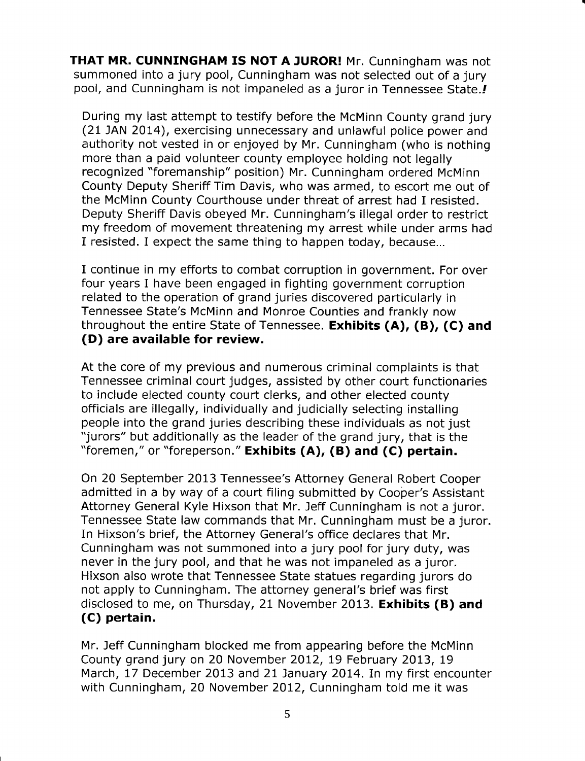THAT MR. CUNNINGHAM IS NOT A JUROR! Mr. Cunningham was not summoned into a jury pool, Cunningham was not selected out of a jury pool, and Cunningham is not impaneled as a juror in Tennessee State.

During my last attempt to testify before the McMinn County grand jury (21 JAN 2014), exercising unnecessary and unlawful police power and authority not vested in or enjoyed by Mr. Cunningham (who is nothing more than a paid volunteer county employee holding not legally recognized "foremanship" position) Mr. Cunningham ordered McMinn County Deputy Sheriff Tim Davis, who was armed, to escort me out of the McMinn County Courthouse under threat of arrest had I resisted. Deputy Sheriff Davis obeyed Mr. Cunningham's illegal order to restrict my freedom of movement threatening my arrest while under arms had I resisted. I expect the same thing to happen today, because...

I continue in my efforts to combat corruption in government. For over four years I have been engaged in fighting government corruption related to the operation of grand juries discovered particularly in Tennessee State's McMinn and Monroe Counties and frankly now throughout the entire State of Tennessee. Exhibits (A), (B), (C) and (D) are available for review.

At the core of my previous and numerous criminal complaints is that Tennessee criminal court judges, assisted by other court functionaries to include elected county court clerks, and other elected county officials are illegally, individually and judicially selecting installing people into the grand juries describing these individuals as not just "jurors" but additionally as the leader of the grand jury, that is the "foremen," or "foreperson." Exhibits (A), (B) and (C) pertain,

On 20 September 2013 Tennessee's Attorney General Robert Cooper admitted in a by way of a court filing submitted by Cooper's Assistant Attorney General Kyle Hixson that Mr. leff Cunningham is not a juror. Tennessee State law commands that Mr. Cunningham must be a juror. In Hixson's brief, the Attorney General's office declares that Mr. Cunningham was not summoned into a jury pool for jury duty, was never in the jury pool, and that he was not impaneled as a juror. Hixson also wrote that Tennessee State statues regarding jurors do not apply to Cunningham. The attorney general's brief was first disclosed to me, on Thursday, 21 November 2013. Exhibits (B) and (C) pertain.

Mr. Jeff Cunningham blocked me from appearing before the McMinn County grand jury on 20 November 2012, 19 February 2013, 19 March, 17 December 2013 and 21 January 2014. In my first encounter with Cunningham, 20 November 2012, Cunningham told me it was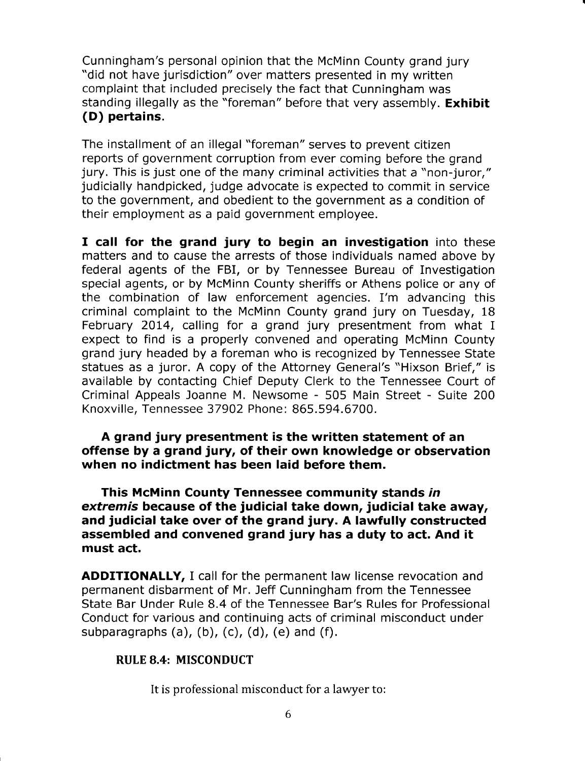Cunningham's personal opinion that the McMinn County grand jury "did not have jurisdiction" over matters presented in my written complaint that included precisely the fact that Cunningham was standing illegally as the "foreman" before that very assembly. **Exhibit** (D) pertains.

The installment of an illegal "foreman" serves to prevent citizen reports of government corruption from ever coming before the grand jury. This is just one of the many criminal activities that a "non-juror," judicially handpicked, judge advocate is expected to commit in service to the government, and obedient to the government as a condition of their employment as a paid government employee.

I call for the grand jury to begin an investigation into these matters and to cause the arrests of those individuals named above by federal agents of the FBI, or by Tennessee Bureau of Investigation special agents, or by McMinn County sheriffs or Athens police or any of the combination of law enforcement agencies. I'm advancing this criminal complaint to the McMinn County grand jury on Tuesday, 18 February 2014, calling for a grand jury presentment from what I expect to find is a properly convened and operating McMinn County grand jury headed by a foreman who is recognized by Tennessee State statues as a juror. A copy of the Attorney General's "Hixson Brief," is available by contacting Chief Deputy Clerk to the Tennessee Court of Criminal Appeals Joanne M. Newsome - 505 Main Street - Suite 200 Knoxville, Tennessee 37902 Phone: 865.594.6700.

A grand jury presentment is the written statement of an offense by a grand jury, of their own knowledge or observation when no indictment has been laid before them.

This McMinn County Tennessee community stands in extremis because of the judicial take down, judicial take away, and judicial take over of the grand jury. A lawfully constructed assembled and convened grand jury has a duty to act. And it must act.

ADDITIONALLY, I call for the permanent law license revocation and permanent disbarment of Mr. Jeff Cunningham from the Tennessee State Bar Under Rule 8.4 of the Tennessee Bar's Rules for Professional Conduct for various and continuing acts of criminal misconduct under subparagraphs  $(a)$ ,  $(b)$ ,  $(c)$ ,  $(d)$ ,  $(e)$  and  $(f)$ .

### RULE 8.4: MISCONDUCT

It is professional misconduct for a lawyer to: